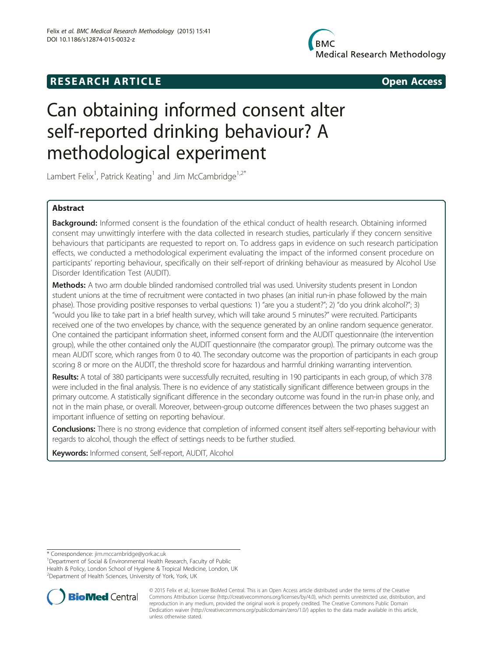# **RESEARCH ARTICLE Example 2014 The SEAR CH ACCESS**

**Medical Research Methodology** 

# Can obtaining informed consent alter self-reported drinking behaviour? A methodological experiment

Lambert Felix<sup>1</sup>, Patrick Keating<sup>1</sup> and Jim McCambridge<sup>1,2\*</sup>

# Abstract

Background: Informed consent is the foundation of the ethical conduct of health research. Obtaining informed consent may unwittingly interfere with the data collected in research studies, particularly if they concern sensitive behaviours that participants are requested to report on. To address gaps in evidence on such research participation effects, we conducted a methodological experiment evaluating the impact of the informed consent procedure on participants' reporting behaviour, specifically on their self-report of drinking behaviour as measured by Alcohol Use Disorder Identification Test (AUDIT).

Methods: A two arm double blinded randomised controlled trial was used. University students present in London student unions at the time of recruitment were contacted in two phases (an initial run-in phase followed by the main phase). Those providing positive responses to verbal questions: 1) "are you a student?"; 2) "do you drink alcohol?"; 3) "would you like to take part in a brief health survey, which will take around 5 minutes?" were recruited. Participants received one of the two envelopes by chance, with the sequence generated by an online random sequence generator. One contained the participant information sheet, informed consent form and the AUDIT questionnaire (the intervention group), while the other contained only the AUDIT questionnaire (the comparator group). The primary outcome was the mean AUDIT score, which ranges from 0 to 40. The secondary outcome was the proportion of participants in each group scoring 8 or more on the AUDIT, the threshold score for hazardous and harmful drinking warranting intervention.

Results: A total of 380 participants were successfully recruited, resulting in 190 participants in each group, of which 378 were included in the final analysis. There is no evidence of any statistically significant difference between groups in the primary outcome. A statistically significant difference in the secondary outcome was found in the run-in phase only, and not in the main phase, or overall. Moreover, between-group outcome differences between the two phases suggest an important influence of setting on reporting behaviour.

Conclusions: There is no strong evidence that completion of informed consent itself alters self-reporting behaviour with regards to alcohol, though the effect of settings needs to be further studied.

Keywords: Informed consent, Self-report, AUDIT, Alcohol

\* Correspondence: [jim.mccambridge@york.ac.uk](mailto:jim.mccambridge@york.ac.uk) <sup>1</sup>

<sup>1</sup>Department of Social & Environmental Health Research, Faculty of Public Health & Policy, London School of Hygiene & Tropical Medicine, London, UK <sup>2</sup>Department of Health Sciences, University of York, York, UK



© 2015 Felix et al.; licensee BioMed Central. This is an Open Access article distributed under the terms of the Creative Commons Attribution License [\(http://creativecommons.org/licenses/by/4.0\)](http://creativecommons.org/licenses/by/4.0), which permits unrestricted use, distribution, and reproduction in any medium, provided the original work is properly credited. The Creative Commons Public Domain Dedication waiver [\(http://creativecommons.org/publicdomain/zero/1.0/](http://creativecommons.org/publicdomain/zero/1.0/)) applies to the data made available in this article, unless otherwise stated.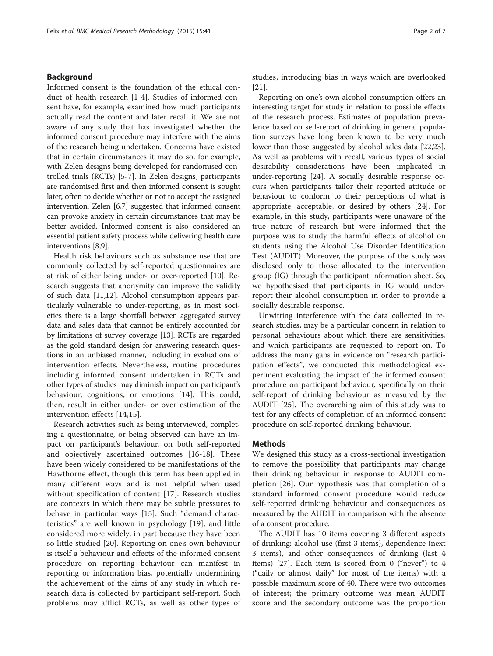# Background

Informed consent is the foundation of the ethical conduct of health research [[1-4](#page-6-0)]. Studies of informed consent have, for example, examined how much participants actually read the content and later recall it. We are not aware of any study that has investigated whether the informed consent procedure may interfere with the aims of the research being undertaken. Concerns have existed that in certain circumstances it may do so, for example, with Zelen designs being developed for randomised controlled trials (RCTs) [[5-7](#page-6-0)]. In Zelen designs, participants are randomised first and then informed consent is sought later, often to decide whether or not to accept the assigned intervention. Zelen [\[6,7\]](#page-6-0) suggested that informed consent can provoke anxiety in certain circumstances that may be better avoided. Informed consent is also considered an essential patient safety process while delivering health care interventions [\[8,9\]](#page-6-0).

Health risk behaviours such as substance use that are commonly collected by self-reported questionnaires are at risk of either being under- or over-reported [[10\]](#page-6-0). Research suggests that anonymity can improve the validity of such data [\[11,12](#page-6-0)]. Alcohol consumption appears particularly vulnerable to under-reporting, as in most societies there is a large shortfall between aggregated survey data and sales data that cannot be entirely accounted for by limitations of survey coverage [[13](#page-6-0)]. RCTs are regarded as the gold standard design for answering research questions in an unbiased manner, including in evaluations of intervention effects. Nevertheless, routine procedures including informed consent undertaken in RCTs and other types of studies may diminish impact on participant's behaviour, cognitions, or emotions [\[14](#page-6-0)]. This could, then, result in either under- or over estimation of the intervention effects [\[14](#page-6-0),[15\]](#page-6-0).

Research activities such as being interviewed, completing a questionnaire, or being observed can have an impact on participant's behaviour, on both self-reported and objectively ascertained outcomes [[16-18](#page-6-0)]. These have been widely considered to be manifestations of the Hawthorne effect, though this term has been applied in many different ways and is not helpful when used without specification of content [[17\]](#page-6-0). Research studies are contexts in which there may be subtle pressures to behave in particular ways [[15](#page-6-0)]. Such "demand characteristics" are well known in psychology [[19\]](#page-6-0), and little considered more widely, in part because they have been so little studied [[20\]](#page-6-0). Reporting on one's own behaviour is itself a behaviour and effects of the informed consent procedure on reporting behaviour can manifest in reporting or information bias, potentially undermining the achievement of the aims of any study in which research data is collected by participant self-report. Such problems may afflict RCTs, as well as other types of studies, introducing bias in ways which are overlooked [[21](#page-6-0)].

Reporting on one's own alcohol consumption offers an interesting target for study in relation to possible effects of the research process. Estimates of population prevalence based on self-report of drinking in general population surveys have long been known to be very much lower than those suggested by alcohol sales data [\[22,23](#page-6-0)]. As well as problems with recall, various types of social desirability considerations have been implicated in under-reporting [[24\]](#page-6-0). A socially desirable response occurs when participants tailor their reported attitude or behaviour to conform to their perceptions of what is appropriate, acceptable, or desired by others [[24](#page-6-0)]. For example, in this study, participants were unaware of the true nature of research but were informed that the purpose was to study the harmful effects of alcohol on students using the Alcohol Use Disorder Identification Test (AUDIT). Moreover, the purpose of the study was disclosed only to those allocated to the intervention group (IG) through the participant information sheet. So, we hypothesised that participants in IG would underreport their alcohol consumption in order to provide a socially desirable response.

Unwitting interference with the data collected in research studies, may be a particular concern in relation to personal behaviours about which there are sensitivities, and which participants are requested to report on. To address the many gaps in evidence on "research participation effects", we conducted this methodological experiment evaluating the impact of the informed consent procedure on participant behaviour, specifically on their self-report of drinking behaviour as measured by the AUDIT [[25\]](#page-6-0). The overarching aim of this study was to test for any effects of completion of an informed consent procedure on self-reported drinking behaviour.

# **Methods**

We designed this study as a cross-sectional investigation to remove the possibility that participants may change their drinking behaviour in response to AUDIT completion [\[26\]](#page-6-0). Our hypothesis was that completion of a standard informed consent procedure would reduce self-reported drinking behaviour and consequences as measured by the AUDIT in comparison with the absence of a consent procedure.

The AUDIT has 10 items covering 3 different aspects of drinking: alcohol use (first 3 items), dependence (next 3 items), and other consequences of drinking (last 4 items) [[27\]](#page-6-0). Each item is scored from 0 ("never") to 4 ("daily or almost daily" for most of the items) with a possible maximum score of 40. There were two outcomes of interest; the primary outcome was mean AUDIT score and the secondary outcome was the proportion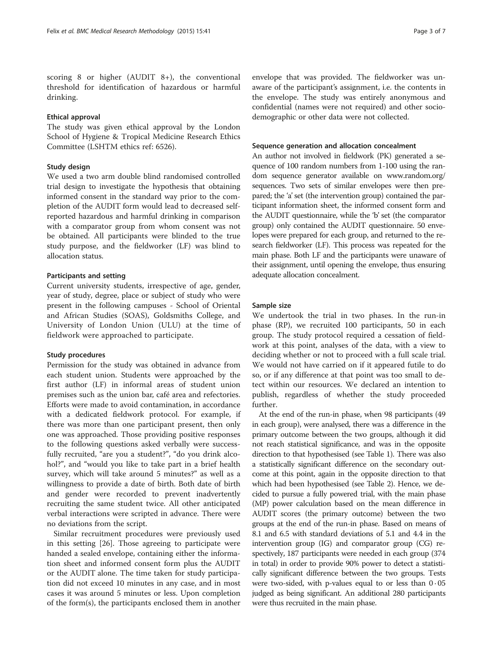scoring 8 or higher (AUDIT 8+), the conventional threshold for identification of hazardous or harmful drinking.

#### Ethical approval

The study was given ethical approval by the London School of Hygiene & Tropical Medicine Research Ethics Committee (LSHTM ethics ref: 6526).

# Study design

We used a two arm double blind randomised controlled trial design to investigate the hypothesis that obtaining informed consent in the standard way prior to the completion of the AUDIT form would lead to decreased selfreported hazardous and harmful drinking in comparison with a comparator group from whom consent was not be obtained. All participants were blinded to the true study purpose, and the fieldworker (LF) was blind to allocation status.

# Participants and setting

Current university students, irrespective of age, gender, year of study, degree, place or subject of study who were present in the following campuses - School of Oriental and African Studies (SOAS), Goldsmiths College, and University of London Union (ULU) at the time of fieldwork were approached to participate.

#### Study procedures

Permission for the study was obtained in advance from each student union. Students were approached by the first author (LF) in informal areas of student union premises such as the union bar, café area and refectories. Efforts were made to avoid contamination, in accordance with a dedicated fieldwork protocol. For example, if there was more than one participant present, then only one was approached. Those providing positive responses to the following questions asked verbally were successfully recruited, "are you a student?", "do you drink alcohol?", and "would you like to take part in a brief health survey, which will take around 5 minutes?" as well as a willingness to provide a date of birth. Both date of birth and gender were recorded to prevent inadvertently recruiting the same student twice. All other anticipated verbal interactions were scripted in advance. There were no deviations from the script.

Similar recruitment procedures were previously used in this setting [\[26\]](#page-6-0). Those agreeing to participate were handed a sealed envelope, containing either the information sheet and informed consent form plus the AUDIT or the AUDIT alone. The time taken for study participation did not exceed 10 minutes in any case, and in most cases it was around 5 minutes or less. Upon completion of the form(s), the participants enclosed them in another

envelope that was provided. The fieldworker was unaware of the participant's assignment, i.e. the contents in the envelope. The study was entirely anonymous and confidential (names were not required) and other sociodemographic or other data were not collected.

#### Sequence generation and allocation concealment

An author not involved in fieldwork (PK) generated a sequence of 100 random numbers from 1-100 using the random sequence generator available on [www.random.org/](http://www.random.org/sequences) [sequences](http://www.random.org/sequences). Two sets of similar envelopes were then prepared; the 'a' set (the intervention group) contained the participant information sheet, the informed consent form and the AUDIT questionnaire, while the 'b' set (the comparator group) only contained the AUDIT questionnaire. 50 envelopes were prepared for each group, and returned to the research fieldworker (LF). This process was repeated for the main phase. Both LF and the participants were unaware of their assignment, until opening the envelope, thus ensuring adequate allocation concealment.

#### Sample size

We undertook the trial in two phases. In the run-in phase (RP), we recruited 100 participants, 50 in each group. The study protocol required a cessation of fieldwork at this point, analyses of the data, with a view to deciding whether or not to proceed with a full scale trial. We would not have carried on if it appeared futile to do so, or if any difference at that point was too small to detect within our resources. We declared an intention to publish, regardless of whether the study proceeded further.

At the end of the run-in phase, when 98 participants (49 in each group), were analysed, there was a difference in the primary outcome between the two groups, although it did not reach statistical significance, and was in the opposite direction to that hypothesised (see Table [1\)](#page-3-0). There was also a statistically significant difference on the secondary outcome at this point, again in the opposite direction to that which had been hypothesised (see Table [2](#page-3-0)). Hence, we decided to pursue a fully powered trial, with the main phase (MP) power calculation based on the mean difference in AUDIT scores (the primary outcome) between the two groups at the end of the run-in phase. Based on means of 8.1 and 6.5 with standard deviations of 5.1 and 4.4 in the intervention group (IG) and comparator group (CG) respectively, 187 participants were needed in each group (374 in total) in order to provide 90% power to detect a statistically significant difference between the two groups. Tests were two-sided, with p-values equal to or less than  $0.05$ judged as being significant. An additional 280 participants were thus recruited in the main phase.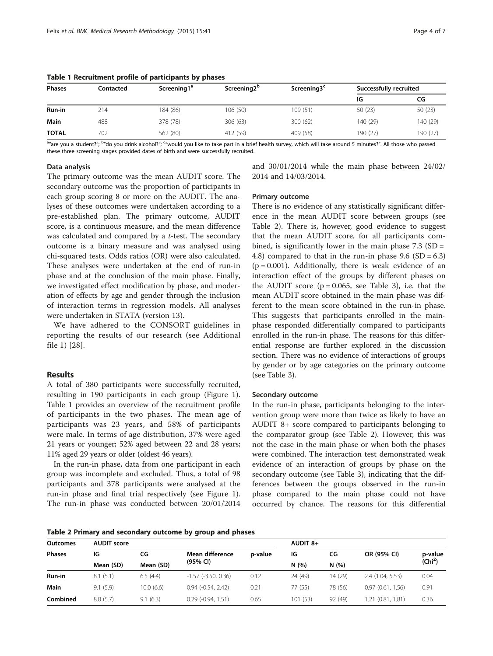| <b>Phases</b> | Contacted | Screening1 <sup>a</sup> | Screening <sub>2</sub> <sup>b</sup> | Screening3 <sup>c</sup> | Successfully recruited |          |
|---------------|-----------|-------------------------|-------------------------------------|-------------------------|------------------------|----------|
|               |           |                         |                                     |                         | IG                     | CG       |
| Run-in        | 214       | 184 (86)                | 106 (50)                            | 109(51)                 | 50 (23)                | 50(23)   |
| Main          | 488       | 378 (78)                | 306 (63)                            | 300(62)                 | 140 (29)               | 140 (29) |
| <b>TOTAL</b>  | 702       | 562 (80)                | 412 (59)                            | 409 (58)                | 190 (27)               | 190 (27) |

<span id="page-3-0"></span>Table 1 Recruitment profile of participants by phases

arare you a student?"; <sup>b</sup>rdo you drink alcohol?"; <sup>c</sup>rwould you like to take part in a brief health survey, which will take around 5 minutes?". All those who passed these three screening stages provided dates of birth and were successfully recruited.

# Data analysis

The primary outcome was the mean AUDIT score. The secondary outcome was the proportion of participants in each group scoring 8 or more on the AUDIT. The analyses of these outcomes were undertaken according to a pre-established plan. The primary outcome, AUDIT score, is a continuous measure, and the mean difference was calculated and compared by a t-test. The secondary outcome is a binary measure and was analysed using chi-squared tests. Odds ratios (OR) were also calculated. These analyses were undertaken at the end of run-in phase and at the conclusion of the main phase. Finally, we investigated effect modification by phase, and moderation of effects by age and gender through the inclusion of interaction terms in regression models. All analyses were undertaken in STATA (version 13).

We have adhered to the CONSORT guidelines in reporting the results of our research (see Additional file [1\)](#page-5-0) [[28](#page-6-0)].

## Results

A total of 380 participants were successfully recruited, resulting in 190 participants in each group (Figure [1](#page-4-0)). Table 1 provides an overview of the recruitment profile of participants in the two phases. The mean age of participants was 23 years, and 58% of participants were male. In terms of age distribution, 37% were aged 21 years or younger; 52% aged between 22 and 28 years; 11% aged 29 years or older (oldest 46 years).

In the run-in phase, data from one participant in each group was incomplete and excluded. Thus, a total of 98 participants and 378 participants were analysed at the run-in phase and final trial respectively (see Figure [1](#page-4-0)). The run-in phase was conducted between 20/01/2014 and 30/01/2014 while the main phase between 24/02/ 2014 and 14/03/2014.

## Primary outcome

There is no evidence of any statistically significant difference in the mean AUDIT score between groups (see Table 2). There is, however, good evidence to suggest that the mean AUDIT score, for all participants combined, is significantly lower in the main phase  $7.3$  (SD = 4.8) compared to that in the run-in phase  $9.6$  (SD = 6.3)  $(p = 0.001)$ . Additionally, there is weak evidence of an interaction effect of the groups by different phases on the AUDIT score  $(p = 0.065,$  see Table [3\)](#page-4-0), i.e. that the mean AUDIT score obtained in the main phase was different to the mean score obtained in the run-in phase. This suggests that participants enrolled in the mainphase responded differentially compared to participants enrolled in the run-in phase. The reasons for this differential response are further explored in the discussion section. There was no evidence of interactions of groups by gender or by age categories on the primary outcome (see Table [3\)](#page-4-0).

#### Secondary outcome

In the run-in phase, participants belonging to the intervention group were more than twice as likely to have an AUDIT 8+ score compared to participants belonging to the comparator group (see Table 2). However, this was not the case in the main phase or when both the phases were combined. The interaction test demonstrated weak evidence of an interaction of groups by phase on the secondary outcome (see Table [3\)](#page-4-0), indicating that the differences between the groups observed in the run-in phase compared to the main phase could not have occurred by chance. The reasons for this differential

Table 2 Primary and secondary outcome by group and phases

| Outcomes      | <b>AUDIT</b> score |           |                           |         | $AUDIT 8+$ |         |                   |                     |  |
|---------------|--------------------|-----------|---------------------------|---------|------------|---------|-------------------|---------------------|--|
| <b>Phases</b> | IG                 | CG        | Mean difference           | p-value | IG         | CG      | OR (95% CI)       | p-value             |  |
|               | Mean (SD)          | Mean (SD) | (95% CI)                  |         | N(96)      | N(96)   |                   | (Chi <sup>2</sup> ) |  |
| Run-in        | 8.1(5.1)           | 6.5(4.4)  | $-1.57$ ( $-3.50$ , 0.36) | 0.12    | 24 (49)    | 14 (29) | 2.4 (1.04, 5.53)  | 0.04                |  |
| Main          | 9.1(5.9)           | 10.0(6.6) | $0.94$ $(-0.54, 2.42)$    | 0.21    | 77 (55)    | 78 (56) | 0.97(0.61, 1.56)  | 0.91                |  |
| Combined      | 8.8(5.7)           | 9.1(6.3)  | $0.29$ $(-0.94, 1.51)$    | 0.65    | 101(53)    | 92 (49) | 1.21 (0.81, 1.81) | 0.36                |  |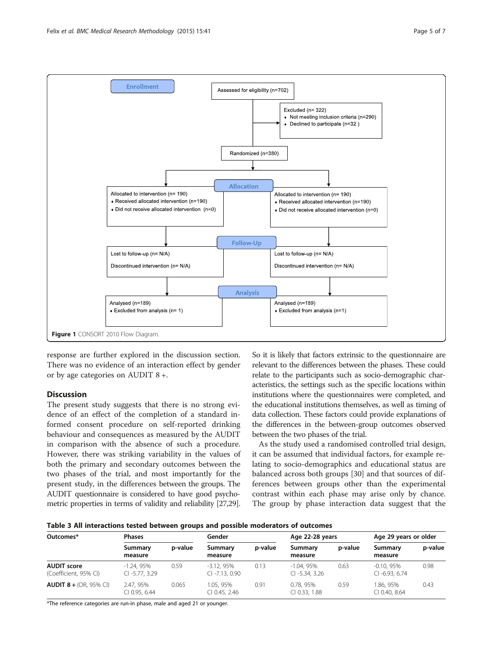<span id="page-4-0"></span>

response are further explored in the discussion section. There was no evidence of an interaction effect by gender or by age categories on AUDIT 8 +.

# Discussion

The present study suggests that there is no strong evidence of an effect of the completion of a standard informed consent procedure on self-reported drinking behaviour and consequences as measured by the AUDIT in comparison with the absence of such a procedure. However, there was striking variability in the values of both the primary and secondary outcomes between the two phases of the trial, and most importantly for the present study, in the differences between the groups. The AUDIT questionnaire is considered to have good psychometric properties in terms of validity and reliability [[27,29](#page-6-0)].

So it is likely that factors extrinsic to the questionnaire are relevant to the differences between the phases. These could relate to the participants such as socio-demographic characteristics, the settings such as the specific locations within institutions where the questionnaires were completed, and the educational institutions themselves, as well as timing of data collection. These factors could provide explanations of the differences in the between-group outcomes observed between the two phases of the trial.

As the study used a randomised controlled trial design, it can be assumed that individual factors, for example relating to socio-demographics and educational status are balanced across both groups [\[30\]](#page-6-0) and that sources of differences between groups other than the experimental contrast within each phase may arise only by chance. The group by phase interaction data suggest that the

|  | Table 3 All interactions tested between groups and possible moderators of outcomes |
|--|------------------------------------------------------------------------------------|
|--|------------------------------------------------------------------------------------|

| Outcomes*                                   | <b>Phases</b>                |         | Gender                          |         | Age 22-28 years                |         | Age 29 years or older          |         |
|---------------------------------------------|------------------------------|---------|---------------------------------|---------|--------------------------------|---------|--------------------------------|---------|
|                                             | Summary<br>measure           | p-value | Summary<br>measure              | p-value | Summary<br>measure             | p-value | Summarv<br>measure             | p-value |
| <b>AUDIT score</b><br>(Coefficient, 95% CI) | -1.24, 95%<br>CI -5.77, 3.29 | 0.59    | $-3.12.95\%$<br>$Cl -7.13.0.90$ | 0.13    | -1.04, 95%<br>$Cl - 5.34.3.26$ | 0.63    | -0.10, 95%<br>$Cl -6.93, 6.74$ | 0.98    |
| <b>AUDIT 8 + (OR. 95% CI)</b>               | 2.47, 95%<br>CI 0.95, 6.44   | 0.065   | 1.05, 95%<br>CI 0.45, 2.46      | 0.91    | 0.78, 95%<br>CI 0.33, 1.88     | 0.59    | 1.86, 95%<br>CI 0.40, 8.64     | 0.43    |

\*The reference categories are run-in phase, male and aged 21 or younger.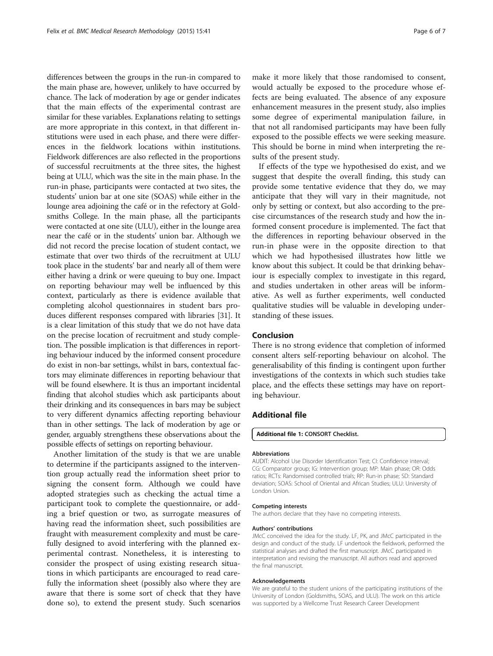<span id="page-5-0"></span>differences between the groups in the run-in compared to the main phase are, however, unlikely to have occurred by chance. The lack of moderation by age or gender indicates that the main effects of the experimental contrast are similar for these variables. Explanations relating to settings are more appropriate in this context, in that different institutions were used in each phase, and there were differences in the fieldwork locations within institutions. Fieldwork differences are also reflected in the proportions of successful recruitments at the three sites, the highest being at ULU, which was the site in the main phase. In the run-in phase, participants were contacted at two sites, the students' union bar at one site (SOAS) while either in the lounge area adjoining the café or in the refectory at Goldsmiths College. In the main phase, all the participants were contacted at one site (ULU), either in the lounge area near the café or in the students' union bar. Although we did not record the precise location of student contact, we estimate that over two thirds of the recruitment at ULU took place in the students' bar and nearly all of them were either having a drink or were queuing to buy one. Impact on reporting behaviour may well be influenced by this context, particularly as there is evidence available that completing alcohol questionnaires in student bars produces different responses compared with libraries [[31](#page-6-0)]. It is a clear limitation of this study that we do not have data on the precise location of recruitment and study completion. The possible implication is that differences in reporting behaviour induced by the informed consent procedure do exist in non-bar settings, whilst in bars, contextual factors may eliminate differences in reporting behaviour that will be found elsewhere. It is thus an important incidental finding that alcohol studies which ask participants about their drinking and its consequences in bars may be subject to very different dynamics affecting reporting behaviour than in other settings. The lack of moderation by age or gender, arguably strengthens these observations about the possible effects of settings on reporting behaviour.

Another limitation of the study is that we are unable to determine if the participants assigned to the intervention group actually read the information sheet prior to signing the consent form. Although we could have adopted strategies such as checking the actual time a participant took to complete the questionnaire, or adding a brief question or two, as surrogate measures of having read the information sheet, such possibilities are fraught with measurement complexity and must be carefully designed to avoid interfering with the planned experimental contrast. Nonetheless, it is interesting to consider the prospect of using existing research situations in which participants are encouraged to read carefully the information sheet (possibly also where they are aware that there is some sort of check that they have done so), to extend the present study. Such scenarios

make it more likely that those randomised to consent, would actually be exposed to the procedure whose effects are being evaluated. The absence of any exposure enhancement measures in the present study, also implies some degree of experimental manipulation failure, in that not all randomised participants may have been fully exposed to the possible effects we were seeking measure. This should be borne in mind when interpreting the results of the present study.

If effects of the type we hypothesised do exist, and we suggest that despite the overall finding, this study can provide some tentative evidence that they do, we may anticipate that they will vary in their magnitude, not only by setting or context, but also according to the precise circumstances of the research study and how the informed consent procedure is implemented. The fact that the differences in reporting behaviour observed in the run-in phase were in the opposite direction to that which we had hypothesised illustrates how little we know about this subject. It could be that drinking behaviour is especially complex to investigate in this regard, and studies undertaken in other areas will be informative. As well as further experiments, well conducted qualitative studies will be valuable in developing understanding of these issues.

# Conclusion

There is no strong evidence that completion of informed consent alters self-reporting behaviour on alcohol. The generalisability of this finding is contingent upon further investigations of the contexts in which such studies take place, and the effects these settings may have on reporting behaviour.

# Additional file

[Additional file 1:](http://www.biomedcentral.com/content/supplementary/s12874-015-0032-z-s1.docx) CONSORT Checklist.

#### Abbreviations

AUDIT: Alcohol Use Disorder Identification Test; CI: Confidence interval; CG: Comparator group; IG: Intervention group; MP: Main phase; OR: Odds ratios; RCTs: Randomised controlled trials; RP: Run-in phase; SD: Standard deviation; SOAS: School of Oriental and African Studies; ULU: University of London Union.

#### Competing interests

The authors declare that they have no competing interests.

#### Authors' contributions

JMcC conceived the idea for the study. LF, PK, and JMcC participated in the design and conduct of the study. LF undertook the fieldwork, performed the statistical analyses and drafted the first manuscript. JMcC participated in interpretation and revising the manuscript. All authors read and approved the final manuscript.

#### Acknowledgements

We are grateful to the student unions of the participating institutions of the University of London (Goldsmiths, SOAS, and ULU). The work on this article was supported by a Wellcome Trust Research Career Development